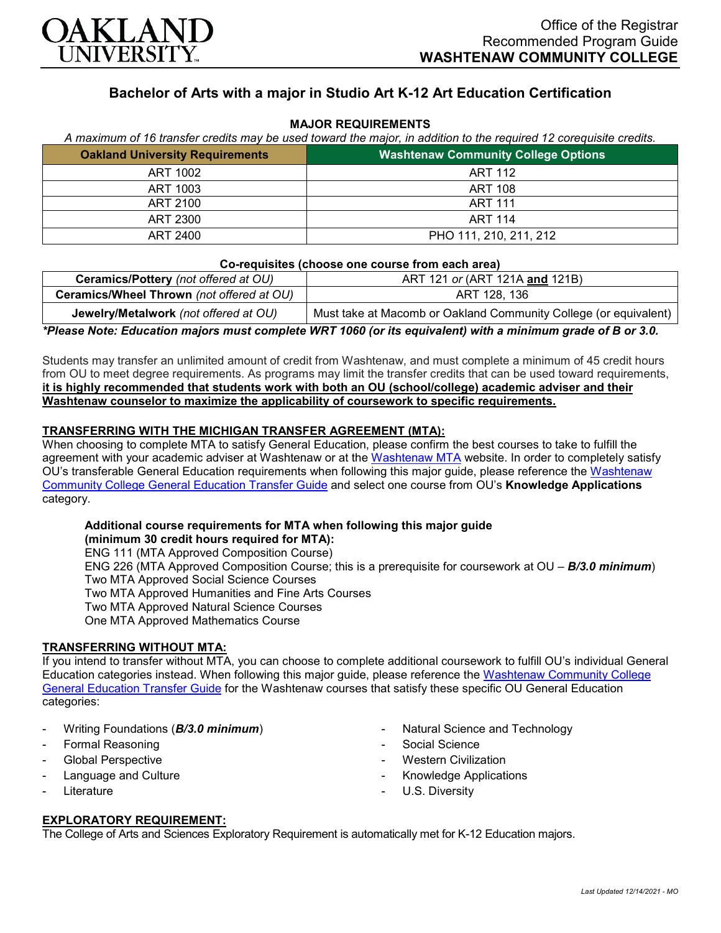

# **Bachelor of Arts with a major in Studio Art K-12 Art Education Certification**

### **MAJOR REQUIREMENTS**

| A maximum of 16 transfer credits may be used toward the major, in addition to the required 12 corequisite credits. |                                            |
|--------------------------------------------------------------------------------------------------------------------|--------------------------------------------|
| <b>Oakland University Requirements</b>                                                                             | <b>Washtenaw Community College Options</b> |
| ART 1002                                                                                                           | ART 112                                    |
| ART 1003                                                                                                           | ART 108                                    |
| ART 2100                                                                                                           | <b>ART 111</b>                             |
| ART 2300                                                                                                           | <b>ART 114</b>                             |
| ART 2400                                                                                                           | PHO 111, 210, 211, 212                     |

#### **Co-requisites (choose one course from each area)**

| Ceramics/Pottery (not offered at OU)      | ART 121 or (ART 121A and 121B)                                   |
|-------------------------------------------|------------------------------------------------------------------|
| Ceramics/Wheel Thrown (not offered at OU) | ART 128, 136                                                     |
| Jewelry/Metalwork (not offered at OU)     | Must take at Macomb or Oakland Community College (or equivalent) |

*\*Please Note: Education majors must complete WRT 1060 (or its equivalent) with a minimum grade of B or 3.0.*

Students may transfer an unlimited amount of credit from Washtenaw, and must complete a minimum of 45 credit hours from OU to meet degree requirements. As programs may limit the transfer credits that can be used toward requirements, **it is highly recommended that students work with both an OU (school/college) academic adviser and their Washtenaw counselor to maximize the applicability of coursework to specific requirements.**

# **TRANSFERRING WITH THE MICHIGAN TRANSFER AGREEMENT (MTA):**

When choosing to complete MTA to satisfy General Education, please confirm the best courses to take to fulfill the agreement with your academic adviser at Washtenaw or at the [Washtenaw MTA](https://www.wccnet.edu/learn/transfer-wcc-credits/mta.php) website. In order to completely satisfy OU's transferable General Education requirements when following this major guide, please reference the Washtenaw [Community College General Education Transfer Guide](https://www.oakland.edu/Assets/Oakland/program-guides/washtenaw-community-college/university-general-education-requirements/Washtenaw%20Gen%20Ed.pdf) and select one course from OU's **Knowledge Applications** category.

# **Additional course requirements for MTA when following this major guide**

**(minimum 30 credit hours required for MTA):** ENG 111 (MTA Approved Composition Course) ENG 226 (MTA Approved Composition Course; this is a prerequisite for coursework at OU – *B/3.0 minimum*) Two MTA Approved Social Science Courses Two MTA Approved Humanities and Fine Arts Courses Two MTA Approved Natural Science Courses One MTA Approved Mathematics Course

# **TRANSFERRING WITHOUT MTA:**

If you intend to transfer without MTA, you can choose to complete additional coursework to fulfill OU's individual General Education categories instead. When following this major guide, please reference the [Washtenaw Community College](https://www.oakland.edu/Assets/Oakland/program-guides/washtenaw-community-college/university-general-education-requirements/Washtenaw%20Gen%20Ed.pdf)  [General Education Transfer Guide](https://www.oakland.edu/Assets/Oakland/program-guides/washtenaw-community-college/university-general-education-requirements/Washtenaw%20Gen%20Ed.pdf) for the Washtenaw courses that satisfy these specific OU General Education categories:

- Writing Foundations (*B/3.0 minimum*)
- Formal Reasoning
- Global Perspective
- Language and Culture
- **Literature**
- Natural Science and Technology
- Social Science
- **Western Civilization**
- Knowledge Applications
- U.S. Diversity

#### **EXPLORATORY REQUIREMENT:**

The College of Arts and Sciences Exploratory Requirement is automatically met for K-12 Education majors.